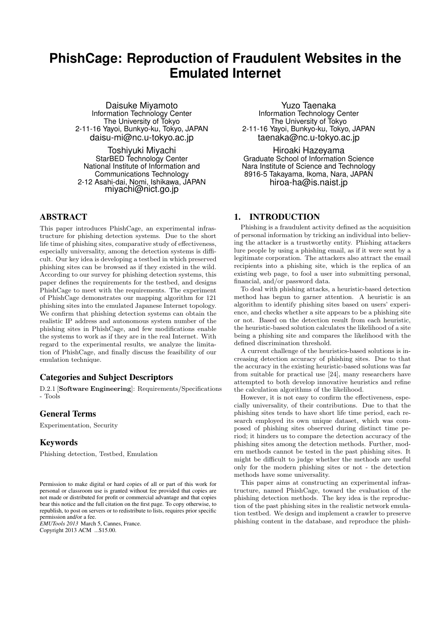# **PhishCage: Reproduction of Fraudulent Websites in the Emulated Internet**

Daisuke Miyamoto Information Technology Center The University of Tokyo 2-11-16 Yayoi, Bunkyo-ku, Tokyo, JAPAN daisu-mi@nc.u-tokyo.ac.jp

Toshiyuki Miyachi StarBED Technology Center National Institute of Information and Communications Technology 2-12 Asahi-dai, Nomi, Ishikawa, JAPAN miyachi@nict.go.jp

## ABSTRACT

This paper introduces PhishCage, an experimental infrastructure for phishing detection systems. Due to the short life time of phishing sites, comparative study of effectiveness, especially universality, among the detection systems is difficult. Our key idea is developing a testbed in which preserved phishing sites can be browsed as if they existed in the wild. According to our survey for phishing detection systems, this paper defines the requirements for the testbed, and designs PhishCage to meet with the requirements. The experiment of PhishCage demonstrates our mapping algorithm for 121 phishing sites into the emulated Japanese Internet topology. We confirm that phishing detection systems can obtain the realistic IP address and autonomous system number of the phishing sites in PhishCage, and few modifications enable the systems to work as if they are in the real Internet. With regard to the experimental results, we analyze the limitation of PhishCage, and finally discuss the feasibility of our emulation technique.

#### Categories and Subject Descriptors

D.2.1 [**Software Engineering**]: Requirements/Specifications - Tools

## General Terms

Experimentation, Security

#### Keywords

Phishing detection, Testbed, Emulation

*EMUTools 2013* March 5, Cannes, France. Copyright 2013 ACM ...\$15.00.

Yuzo Taenaka Information Technology Center The University of Tokyo 2-11-16 Yayoi, Bunkyo-ku, Tokyo, JAPAN taenaka@nc.u-tokyo.ac.jp

Hiroaki Hazeyama Graduate School of Information Science Nara Institute of Science and Technology 8916-5 Takayama, Ikoma, Nara, JAPAN hiroa-ha@is.naist.jp

## 1. INTRODUCTION

Phishing is a fraudulent activity defined as the acquisition of personal information by tricking an individual into believing the attacker is a trustworthy entity. Phishing attackers lure people by using a phishing email, as if it were sent by a legitimate corporation. The attackers also attract the email recipients into a phishing site, which is the replica of an existing web page, to fool a user into submitting personal, financial, and/or password data.

To deal with phishing attacks, a heuristic-based detection method has begun to garner attention. A heuristic is an algorithm to identify phishing sites based on users' experience, and checks whether a site appears to be a phishing site or not. Based on the detection result from each heuristic, the heuristic-based solution calculates the likelihood of a site being a phishing site and compares the likelihood with the defined discrimination threshold.

A current challenge of the heuristics-based solutions is increasing detection accuracy of phishing sites. Due to that the accuracy in the existing heuristic-based solutions was far from suitable for practical use [24], many researchers have attempted to both develop innovative heuristics and refine the calculation algorithms of the likelihood.

However, it is not easy to confirm the effectiveness, especially universality, of their contributions. Due to that the phishing sites tends to have short life time period, each research employed its own unique dataset, which was composed of phishing sites observed during distinct time period; it hinders us to compare the detection accuracy of the phishing sites among the detection methods. Further, modern methods cannot be tested in the past phishing sites. It might be difficult to judge whether the methods are useful only for the modern phishing sites or not - the detection methods have some universality.

This paper aims at constructing an experimental infrastructure, named PhishCage, toward the evaluation of the phishing detection methods. The key idea is the reproduction of the past phishing sites in the realistic network emulation testbed. We design and implement a crawler to preserve phishing content in the database, and reproduce the phish-

Permission to make digital or hard copies of all or part of this work for personal or classroom use is granted without fee provided that copies are not made or distributed for profit or commercial advantage and that copies bear this notice and the full citation on the first page. To copy otherwise, to republish, to post on servers or to redistribute to lists, requires prior specific permission and/or a fee.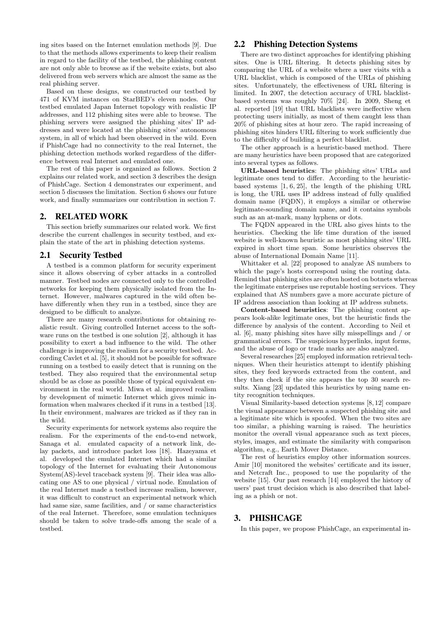ing sites based on the Internet emulation methods [9]. Due to that the methods allows experiments to keep their realism in regard to the facility of the testbed, the phishing content are not only able to browse as if the website exists, but also delivered from web servers which are almost the same as the real phishing server.

Based on these designs, we constructed our testbed by 471 of KVM instances on StarBED's eleven nodes. Our testbed emulated Japan Internet topology with realistic IP addresses, and 112 phishing sites were able to browse. The phishing servers were assigned the phishing sites' IP addresses and were located at the phishing sites' autonomous system, in all of which had been observed in the wild. Even if PhishCage had no connectivity to the real Internet, the phishing detection methods worked regardless of the difference between real Internet and emulated one.

The rest of this paper is organized as follows. Section 2 explains our related work, and section 3 describes the design of PhishCage. Section 4 demonstrates our experiment, and section 5 discusses the limitation. Section 6 shows our future work, and finally summarizes our contribution in section 7.

#### 2. RELATED WORK

This section briefly summarizes our related work. We first describe the current challenges in security testbed, and explain the state of the art in phishing detection systems.

#### 2.1 Security Testbed

A testbed is a common platform for security experiment since it allows observing of cyber attacks in a controlled manner. Testbed nodes are connected only to the controlled networks for keeping them physically isolated from the Internet. However, malwares captured in the wild often behave differently when they run in a testbed, since they are designed to be difficult to analyze.

There are many research contributions for obtaining realistic result. Giving controlled Internet access to the software runs on the testbed is one solution [2], although it has possibility to exert a bad influence to the wild. The other challenge is improving the realism for a security testbed. According Cavlet et al. [5], it should not be possible for software running on a testbed to easily detect that is running on the testbed. They also required that the environmental setup should be as close as possible those of typical equivalent environment in the real world. Miwa et al. improved realism by development of mimetic Internet which gives mimic information when malwares checked if it runs in a testbed [13]. In their environment, malwares are tricked as if they ran in the wild.

Security experiments for network systems also require the realism. For the experiments of the end-to-end network, Sanaga et al. emulated capacity of a network link, delay packets, and introduce packet loss [18]. Hazeyama et al. developed the emulated Internet which had a similar topology of the Internet for evaluating their Autonomous System(AS)-level traceback system [9]. Their idea was allocating one AS to one physical / virtual node. Emulation of the real Internet made a testbed increase realism, however, it was difficult to construct an experimental network which had same size, same facilities, and / or same characteristics of the real Internet. Therefore, some emulation techniques should be taken to solve trade-offs among the scale of a testbed.

#### 2.2 Phishing Detection Systems

There are two distinct approaches for identifying phishing sites. One is URL filtering. It detects phishing sites by comparing the URL of a website where a user visits with a URL blacklist, which is composed of the URLs of phishing sites. Unfortunately, the effectiveness of URL filtering is limited. In 2007, the detection accuracy of URL blacklistbased systems was roughly 70% [24]. In 2009, Sheng et al. reported [19] that URL blacklists were ineffective when protecting users initially, as most of them caught less than 20% of phishing sites at hour zero. The rapid increasing of phishing sites hinders URL filtering to work sufficiently due to the difficulty of building a perfect blacklist.

The other approach is a heuristic-based method. There are many heuristics have been proposed that are categorized into several types as follows.

**URL-based heuristics**: The phishing sites' URLs and legitimate ones tend to differ. According to the heuristicbased systems [1, 6, 25], the length of the phishing URL is long, the URL uses IP address instead of fully qualified domain name (FQDN), it employs a similar or otherwise legitimate-sounding domain name, and it contains symbols such as an at-mark, many hyphens or dots.

The FQDN appeared in the URL also gives hints to the heuristics. Checking the life time duration of the issued website is well-known heuristic as most phishing sites' URL expired in short time span. Some heuristics observes the abuse of International Domain Name [11].

Whittaker et al. [22] proposed to analyze AS numbers to which the page's hosts correspond using the routing data. Remind that phishing sites are often hosted on botnets whereas the legitimate enterprises use reputable hosting services. They explained that AS numbers gave a more accurate picture of IP address association than looking at IP address subnets.

**Content-based heuristics**: The phishing content appears look-alike legitimate ones, but the heuristic finds the difference by analysis of the content. According to Neil et al. [6], many phishing sites have silly misspellings and / or grammatical errors. The suspicious hyperlinks, input forms, and the abuse of logo or trade marks are also analyzed.

Several researches [25] employed information retrieval techniques. When their heuristics attempt to identify phishing sites, they feed keywords extracted from the content, and they then check if the site appears the top 30 search results. Xiang [23] updated this heuristics by using name entity recognition techniques.

Visual Similarity-based detection systems [8, 12] compare the visual appearance between a suspected phishing site and a legitimate site which is spoofed. When the two sites are too similar, a phishing warning is raised. The heuristics monitor the overall visual appearance such as text pieces, styles, images, and estimate the similarity with comparison algorithm, e.g., Earth Mover Distance.

The rest of heuristics employ other information sources. Amir [10] monitored the websites' certificate and its issuer, and Netcraft Inc., proposed to use the popularity of the website [15]. Our past research [14] employed the history of users' past trust decision which is also described that labeling as a phish or not.

#### 3. PHISHCAGE

In this paper, we propose PhishCage, an experimental in-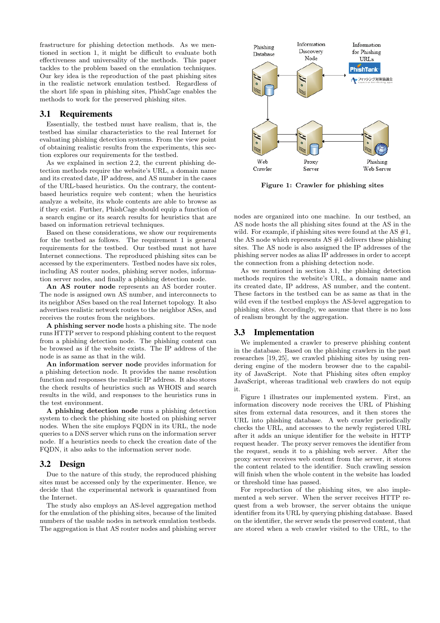frastructure for phishing detection methods. As we mentioned in section 1, it might be difficult to evaluate both effectiveness and universality of the methods. This paper tackles to the problem based on the emulation techniques. Our key idea is the reproduction of the past phishing sites in the realistic network emulation testbed. Regardless of the short life span in phishing sites, PhishCage enables the methods to work for the preserved phishing sites.

#### 3.1 Requirements

Essentially, the testbed must have realism, that is, the testbed has similar characteristics to the real Internet for evaluating phishing detection systems. From the view point of obtaining realistic results from the experiments, this section explores our requirements for the testbed.

As we explained in section 2.2, the current phishing detection methods require the website's URL, a domain name and its created date, IP address, and AS number in the cases of the URL-based heuristics. On the contrary, the contentbased heuristics require web content; when the heuristics analyze a website, its whole contents are able to browse as if they exist. Further, PhishCage should equip a function of a search engine or its search results for heuristics that are based on information retrieval techniques.

Based on these considerations, we show our requirements for the testbed as follows. The requirement 1 is general requirements for the testbed. Our testbed must not have Internet connections. The reproduced phishing sites can be accessed by the experimenters. Testbed nodes have six roles, including AS router nodes, phishing server nodes, information server nodes, and finally a phishing detection node.

**An AS router node** represents an AS border router. The node is assigned own AS number, and interconnects to its neighbor ASes based on the real Internet topology. It also advertises realistic network routes to the neighbor ASes, and receives the routes from the neighbors.

**A phishing server node** hosts a phishing site. The node runs HTTP server to respond phishing content to the request from a phishing detection node. The phishing content can be browsed as if the website exists. The IP address of the node is as same as that in the wild.

**An information server node** provides information for a phishing detection node. It provides the name resolution function and responses the realistic IP address. It also stores the check results of heuristics such as WHOIS and search results in the wild, and responses to the heuristics runs in the test environment.

**A phishing detection node** runs a phishing detection system to check the phishing site hosted on phishing server nodes. When the site employs FQDN in its URL, the node queries to a DNS server which runs on the information server node. If a heuristics needs to check the creation date of the FQDN, it also asks to the information server node.

## 3.2 Design

Due to the nature of this study, the reproduced phishing sites must be accessed only by the experimenter. Hence, we decide that the experimental network is quarantined from the Internet.

The study also employs an AS-level aggregation method for the emulation of the phishing sites, because of the limited numbers of the usable nodes in network emulation testbeds. The aggregation is that AS router nodes and phishing server



**Figure 1: Crawler for phishing sites**

nodes are organized into one machine. In our testbed, an AS node hosts the all phishing sites found at the AS in the wild. For example, if phishing sites were found at the AS  $\#1$ , the AS node which represents AS #1 delivers these phishing sites. The AS node is also assigned the IP addresses of the phishing server nodes as alias IP addresses in order to accept the connection from a phishing detection node.

As we mentioned in section 3.1, the phishing detection methods requires the website's URL, a domain name and its created date, IP address, AS number, and the content. These factors in the testbed can be as same as that in the wild even if the testbed employs the AS-level aggregation to phishing sites. Accordingly, we assume that there is no loss of realism brought by the aggregation.

## 3.3 Implementation

We implemented a crawler to preserve phishing content in the database. Based on the phishing crawlers in the past researches [19, 25], we crawled phishing sites by using rendering engine of the modern browser due to the capability of JavaScript. Note that Phishing sites often employ JavaScript, whereas traditional web crawlers do not equip it.

Figure 1 illustrates our implemented system. First, an information discovery node receives the URL of Phishing sites from external data resources, and it then stores the URL into phishing database. A web crawler periodically checks the URL, and accesses to the newly registered URL after it adds an unique identifier for the website in HTTP request header. The proxy server removes the identifier from the request, sends it to a phishing web server. After the proxy server receives web content from the server, it stores the content related to the identifier. Such crawling session will finish when the whole content in the website has loaded or threshold time has passed.

For reproduction of the phishing sites, we also implemented a web server. When the server receives HTTP request from a web browser, the server obtains the unique identifier from its URL by querying phishing database. Based on the identifier, the server sends the preserved content, that are stored when a web crawler visited to the URL, to the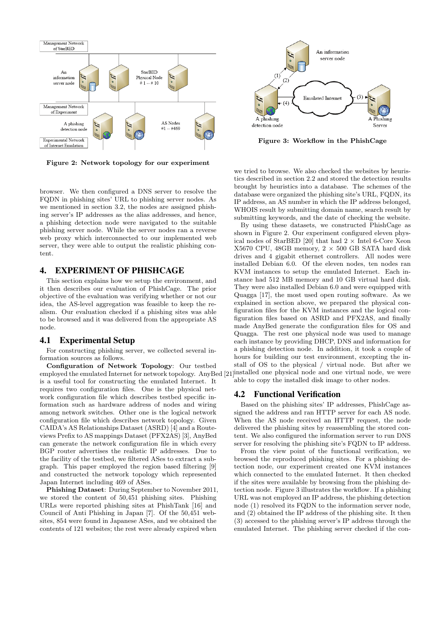

**Figure 2: Network topology for our experiment**

browser. We then configured a DNS server to resolve the FQDN in phishing sites' URL to phishing server nodes. As we mentioned in section 3.2, the nodes are assigned phishing server's IP addresses as the alias addresses, and hence, a phishing detection node were navigated to the suitable phishing server node. While the server nodes ran a reverse web proxy which interconnected to our implemented web server, they were able to output the realistic phishing content.

## 4. EXPERIMENT OF PHISHCAGE

This section explains how we setup the environment, and it then describes our evaluation of PhishCage. The prior objective of the evaluation was verifying whether or not our idea, the AS-level aggregation was feasible to keep the realism. Our evaluation checked if a phishing sites was able to be browsed and it was delivered from the appropriate AS node.

#### 4.1 Experimental Setup

For constructing phishing server, we collected several information sources as follows.

**Configuration of Network Topology**: Our testbed employed the emulated Internet for network topology. AnyBed [21] is a useful tool for constructing the emulated Internet. It requires two configuration files. One is the physical network configuration file which describes testbed specific information such as hardware address of nodes and wiring among network switches. Other one is the logical network configuration file which describes network topology. Given CAIDA's AS Relationships Dataset (ASRD) [4] and a Routeviews Prefix to AS mappings Dataset (PFX2AS) [3], AnyBed can generate the network configuration file in which every BGP router advertises the realistic IP addresses. Due to the facility of the testbed, we filtered ASes to extract a subgraph. This paper employed the region based filtering [9] and constructed the network topology which represented Japan Internet including 469 of ASes.

**Phishing Dataset**: During September to November 2011, we stored the content of 50,451 phishing sites. Phishing URLs were reported phishing sites at PhishTank [16] and Council of Anti Phishing in Japan [7]. Of the 50,451 websites, 854 were found in Japanese ASes, and we obtained the contents of 121 websites; the rest were already expired when



**Figure 3: Workflow in the PhishCage**

we tried to browse. We also checked the websites by heuristics described in section 2.2 and stored the detection results brought by heuristics into a database. The schemes of the database were organized the phishing site's URL, FQDN, its IP address, an AS number in which the IP address belonged, WHOIS result by submitting domain name, search result by submitting keywords, and the date of checking the website.

By using these datasets, we constructed PhishCage as shown in Figure 2. Our experiment configured eleven physical nodes of StarBED [20] that had 2 *×* Intel 6-Core Xeon X5670 CPU, 48GB memory, 2 *×* 500 GB SATA hard disk drives and 4 gigabit ethernet controllers. All nodes were installed Debian 6.0. Of the eleven nodes, ten nodes ran KVM instances to setup the emulated Internet. Each instance had 512 MB memory and 10 GB virtual hard disk. They were also installed Debian 6.0 and were equipped with Quagga [17], the most used open routing software. As we explained in section above, we prepared the physical configuration files for the KVM instances and the logical configuration files based on ASRD and PFX2AS, and finally made AnyBed generate the configuration files for OS and Quagga. The rest one physical node was used to manage each instance by providing DHCP, DNS and information for a phishing detection node. In addition, it took a couple of hours for building our test environment, excepting the install of OS to the physical / virtual node. But after we installed one physical node and one virtual node, we were able to copy the installed disk image to other nodes.

#### 4.2 Functional Verification

Based on the phishing sites' IP addresses, PhishCage assigned the address and ran HTTP server for each AS node. When the AS node received an HTTP request, the node delivered the phishing sites by reassembling the stored content. We also configured the information server to run DNS server for resolving the phishing site's FQDN to IP address.

From the view point of the functional verification, we browsed the reproduced phishing sites. For a phishing detection node, our experiment created one KVM instances which connected to the emulated Internet. It then checked if the sites were available by browsing from the phishing detection node. Figure 3 illustrates the workflow. If a phishing URL was not employed an IP address, the phishing detection node (1) resolved its FQDN to the information server node, and (2) obtained the IP address of the phishing site. It then (3) accessed to the phishing server's IP address through the emulated Internet. The phishing server checked if the con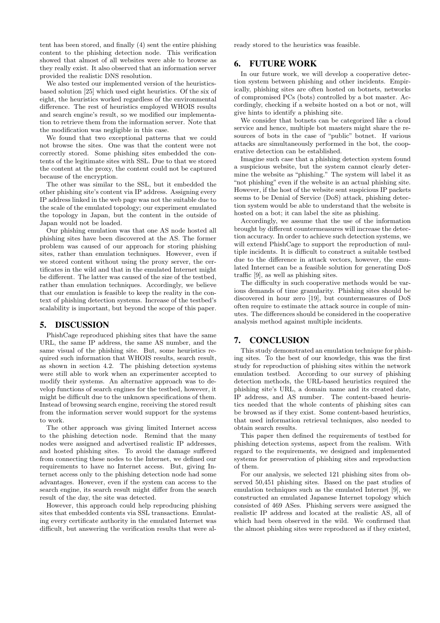tent has been stored, and finally (4) sent the entire phishing content to the phishing detection node. This verification showed that almost of all websites were able to browse as they really exist. It also observed that an information server provided the realistic DNS resolution.

We also tested our implemented version of the heuristicsbased solution [25] which used eight heuristics. Of the six of eight, the heuristics worked regardless of the environmental difference. The rest of heuristics employed WHOIS results and search engine's result, so we modified our implementation to retrieve them from the information server. Note that the modification was negligible in this case.

We found that two exceptional patterns that we could not browse the sites. One was that the content were not correctly stored. Some phishing sites embedded the contents of the legitimate sites with SSL. Due to that we stored the content at the proxy, the content could not be captured because of the encryption.

The other was similar to the SSL, but it embedded the other phishing site's content via IP address. Assigning every IP address linked in the web page was not the suitable due to the scale of the emulated topology; our experiment emulated the topology in Japan, but the content in the outside of Japan would not be loaded.

Our phishing emulation was that one AS node hosted all phishing sites have been discovered at the AS. The former problem was caused of our approach for storing phishing sites, rather than emulation techniques. However, even if we stored content without using the proxy server, the certificates in the wild and that in the emulated Internet might be different. The latter was caused of the size of the testbed, rather than emulation techniques. Accordingly, we believe that our emulation is feasible to keep the reality in the context of phishing detection systems. Increase of the testbed's scalability is important, but beyond the scope of this paper.

## 5. DISCUSSION

PhishCage reproduced phishing sites that have the same URL, the same IP address, the same AS number, and the same visual of the phishing site. But, some heuristics required such information that WHOIS results, search result, as shown in section 4.2. The phishing detection systems were still able to work when an experimenter accepted to modify their systems. An alternative approach was to develop functions of search engines for the testbed, however, it might be difficult due to the unknown specifications of them. Instead of browsing search engine, receiving the stored result from the information server would support for the systems to work.

The other approach was giving limited Internet access to the phishing detection node. Remind that the many nodes were assigned and advertised realistic IP addresses, and hosted phishing sites. To avoid the damage suffered from connecting these nodes to the Internet, we defined our requirements to have no Internet access. But, giving Internet access only to the phishing detection node had some advantages. However, even if the system can access to the search engine, its search result might differ from the search result of the day, the site was detected.

However, this approach could help reproducing phishing sites that embedded contents via SSL transactions. Emulating every certificate authority in the emulated Internet was difficult, but answering the verification results that were already stored to the heuristics was feasible.

## 6. FUTURE WORK

In our future work, we will develop a cooperative detection system between phishing and other incidents. Empirically, phishing sites are often hosted on botnets, networks of compromised PCs (bots) controlled by a bot master. Accordingly, checking if a website hosted on a bot or not, will give hints to identify a phishing site.

We consider that botnets can be categorized like a cloud service and hence, multiple bot masters might share the resources of bots in the case of "public" botnet. If various attacks are simultaneously performed in the bot, the cooperative detection can be established.

Imagine such case that a phishing detection system found a suspicious website, but the system cannot clearly determine the website as "phishing." The system will label it as "not phishing" even if the website is an actual phishing site. However, if the host of the website sent suspicious IP packets seems to be Denial of Service (DoS) attack, phishing detection system would be able to understand that the website is hosted on a bot; it can label the site as phishing.

Accordingly, we assume that the use of the information brought by different countermeasures will increase the detection accuracy. In order to achieve such detection systems, we will extend PhishCage to support the reproduction of multiple incidents. It is difficult to construct a suitable testbed due to the difference in attack vectors, however, the emulated Internet can be a feasible solution for generating DoS traffic [9], as well as phishing sites.

The difficulty in such cooperative methods would be various demands of time granularity. Phishing sites should be discovered in hour zero [19], but countermeasures of DoS often require to estimate the attack source in couple of minutes. The differences should be considered in the cooperative analysis method against multiple incidents.

## 7. CONCLUSION

This study demonstrated an emulation technique for phishing sites. To the best of our knowledge, this was the first study for reproduction of phishing sites within the network emulation testbed. According to our survey of phishing detection methods, the URL-based heuristics required the phishing site's URL, a domain name and its created date, IP address, and AS number. The content-based heuristics needed that the whole contents of phishing sites can be browsed as if they exist. Some content-based heuristics, that used information retrieval techniques, also needed to obtain search results.

This paper then defined the requirements of testbed for phishing detection systems, aspect from the realism. With regard to the requirements, we designed and implemented systems for preservation of phishing sites and reproduction of them.

For our analysis, we selected 121 phishing sites from observed 50,451 phishing sites. Based on the past studies of emulation techniques such as the emulated Internet [9], we constructed an emulated Japanese Internet topology which consisted of 469 ASes. Phishing servers were assigned the realistic IP address and located at the realistic AS, all of which had been observed in the wild. We confirmed that the almost phishing sites were reproduced as if they existed,